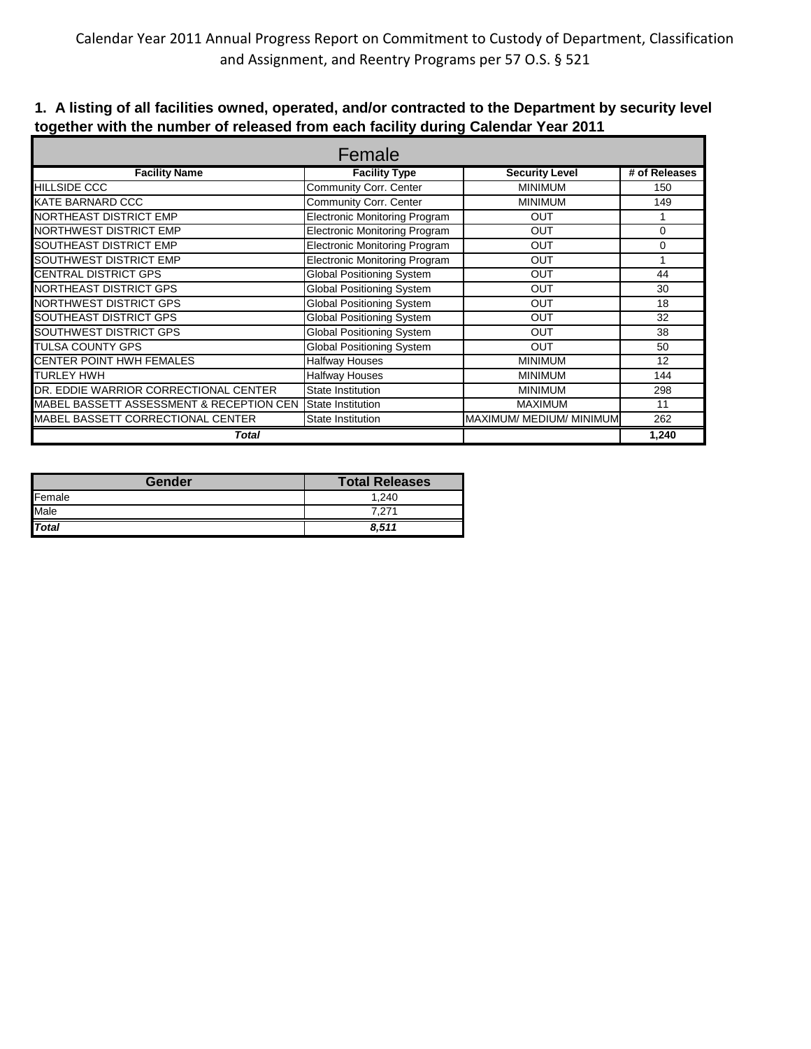| Female                                   |                                      |                          |               |  |  |
|------------------------------------------|--------------------------------------|--------------------------|---------------|--|--|
| <b>Facility Name</b>                     | <b>Facility Type</b>                 | <b>Security Level</b>    | # of Releases |  |  |
| <b>HILLSIDE CCC</b>                      | Community Corr. Center               | <b>MINIMUM</b>           | 150           |  |  |
| KATE BARNARD CCC                         | Community Corr. Center               | <b>MINIMUM</b>           | 149           |  |  |
| <b>NORTHEAST DISTRICT EMP</b>            | <b>Electronic Monitoring Program</b> | <b>OUT</b>               | 1             |  |  |
| <b>NORTHWEST DISTRICT EMP</b>            | <b>Electronic Monitoring Program</b> | OUT                      | 0             |  |  |
| SOUTHEAST DISTRICT EMP                   | <b>Electronic Monitoring Program</b> | <b>OUT</b>               | 0             |  |  |
| <b>SOUTHWEST DISTRICT EMP</b>            | <b>Electronic Monitoring Program</b> | <b>OUT</b>               |               |  |  |
| <b>CENTRAL DISTRICT GPS</b>              | <b>Global Positioning System</b>     | <b>OUT</b>               | 44            |  |  |
| <b>NORTHEAST DISTRICT GPS</b>            | <b>Global Positioning System</b>     | <b>OUT</b>               | 30            |  |  |
| <b>NORTHWEST DISTRICT GPS</b>            | <b>Global Positioning System</b>     | <b>OUT</b>               | 18            |  |  |
| <b>SOUTHEAST DISTRICT GPS</b>            | <b>Global Positioning System</b>     | <b>OUT</b>               | 32            |  |  |
| <b>SOUTHWEST DISTRICT GPS</b>            | <b>Global Positioning System</b>     | <b>OUT</b>               | 38            |  |  |
| <b>TULSA COUNTY GPS</b>                  | <b>Global Positioning System</b>     | <b>OUT</b>               | 50            |  |  |
| <b>CENTER POINT HWH FEMALES</b>          | <b>Halfway Houses</b>                | <b>MINIMUM</b>           | 12            |  |  |
| <b>TURLEY HWH</b>                        | <b>Halfway Houses</b>                | <b>MINIMUM</b>           | 144           |  |  |
| DR. EDDIE WARRIOR CORRECTIONAL CENTER    | <b>State Institution</b>             | <b>MINIMUM</b>           | 298           |  |  |
| MABEL BASSETT ASSESSMENT & RECEPTION CEN | <b>State Institution</b>             | <b>MAXIMUM</b>           | 11            |  |  |
| MABEL BASSETT CORRECTIONAL CENTER        | <b>State Institution</b>             | MAXIMUM/ MEDIUM/ MINIMUM | 262           |  |  |
| Total                                    |                                      |                          | 1,240         |  |  |

## **1. A listing of all facilities owned, operated, and/or contracted to the Department by security level together with the number of released from each facility during Calendar Year 2011**

| Gender       | <b>Total Releases</b> |
|--------------|-----------------------|
| Female       | 1.240                 |
| Male         | 7.271                 |
| <b>Total</b> | 8.511                 |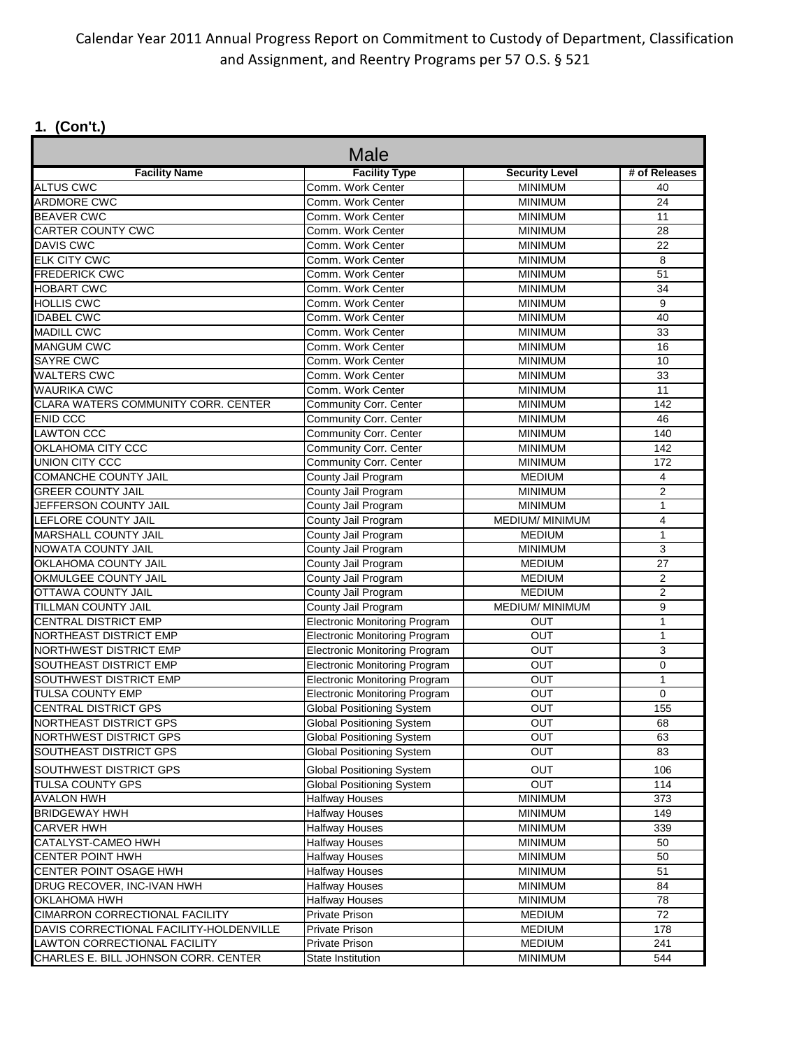## Calendar Year 2011 Annual Progress Report on Commitment to Custody of Department, Classification and Assignment, and Reentry Programs per 57 O.S. § 521

# **1. (Con't.)**

| <b>Male</b>                             |                                      |                       |                |  |  |
|-----------------------------------------|--------------------------------------|-----------------------|----------------|--|--|
| <b>Facility Name</b>                    | <b>Facility Type</b>                 | <b>Security Level</b> | # of Releases  |  |  |
| <b>ALTUS CWC</b>                        | Comm. Work Center                    | <b>MINIMUM</b>        | 40             |  |  |
| <b>ARDMORE CWC</b>                      | Comm. Work Center                    | <b>MINIMUM</b>        | 24             |  |  |
| <b>BEAVER CWC</b>                       | Comm. Work Center                    | <b>MINIMUM</b>        | 11             |  |  |
| <b>CARTER COUNTY CWC</b>                | Comm. Work Center                    | <b>MINIMUM</b>        | 28             |  |  |
| <b>DAVIS CWC</b>                        | Comm. Work Center                    | <b>MINIMUM</b>        | 22             |  |  |
| <b>ELK CITY CWC</b>                     | Comm. Work Center                    | <b>MINIMUM</b>        | 8              |  |  |
| <b>FREDERICK CWC</b>                    | Comm. Work Center                    | <b>MINIMUM</b>        | 51             |  |  |
| <b>HOBART CWC</b>                       | Comm. Work Center                    | <b>MINIMUM</b>        | 34             |  |  |
| <b>HOLLIS CWC</b>                       | Comm. Work Center                    | <b>MINIMUM</b>        | 9              |  |  |
| <b>IDABEL CWC</b>                       | Comm. Work Center                    | <b>MINIMUM</b>        | 40             |  |  |
| <b>MADILL CWC</b>                       | Comm. Work Center                    | <b>MINIMUM</b>        | 33             |  |  |
| <b>MANGUM CWC</b>                       | Comm. Work Center                    | <b>MINIMUM</b>        | 16             |  |  |
| <b>SAYRE CWC</b>                        | Comm. Work Center                    | <b>MINIMUM</b>        | 10             |  |  |
| <b>WALTERS CWC</b>                      | Comm. Work Center                    | <b>MINIMUM</b>        | 33             |  |  |
| <b>WAURIKA CWC</b>                      | Comm. Work Center                    | <b>MINIMUM</b>        | 11             |  |  |
| CLARA WATERS COMMUNITY CORR. CENTER     | Community Corr. Center               | <b>MINIMUM</b>        | 142            |  |  |
| <b>ENID CCC</b>                         | Community Corr. Center               | <b>MINIMUM</b>        | 46             |  |  |
| <b>LAWTON CCC</b>                       | <b>Community Corr. Center</b>        | <b>MINIMUM</b>        | 140            |  |  |
| OKLAHOMA CITY CCC                       | <b>Community Corr. Center</b>        | <b>MINIMUM</b>        | 142            |  |  |
| UNION CITY CCC                          | Community Corr. Center               | <b>MINIMUM</b>        | 172            |  |  |
| <b>COMANCHE COUNTY JAIL</b>             | County Jail Program                  | <b>MEDIUM</b>         | 4              |  |  |
| <b>GREER COUNTY JAIL</b>                | County Jail Program                  | <b>MINIMUM</b>        | $\overline{2}$ |  |  |
| JEFFERSON COUNTY JAIL                   | County Jail Program                  | <b>MINIMUM</b>        | $\mathbf{1}$   |  |  |
| Γ<br>LEFLORE COUNTY JAIL                | County Jail Program                  | MEDIUM/ MINIMUM       | $\overline{4}$ |  |  |
| <b>MARSHALL COUNTY JAIL</b>             | County Jail Program                  | <b>MEDIUM</b>         | $\mathbf{1}$   |  |  |
| <b>NOWATA COUNTY JAIL</b>               | County Jail Program                  | <b>MINIMUM</b>        | 3              |  |  |
| OKLAHOMA COUNTY JAIL                    | County Jail Program                  | <b>MEDIUM</b>         | 27             |  |  |
| OKMULGEE COUNTY JAIL                    | County Jail Program                  | <b>MEDIUM</b>         | 2              |  |  |
| <b>OTTAWA COUNTY JAIL</b>               | County Jail Program                  | <b>MEDIUM</b>         | $\overline{2}$ |  |  |
| <b>TILLMAN COUNTY JAIL</b>              | County Jail Program                  | MEDIUM/ MINIMUM       | 9              |  |  |
| CENTRAL DISTRICT EMP                    | <b>Electronic Monitoring Program</b> | OUT                   | 1              |  |  |
| NORTHEAST DISTRICT EMP                  | <b>Electronic Monitoring Program</b> | OUT                   | $\mathbf{1}$   |  |  |
| NORTHWEST DISTRICT EMP                  | <b>Electronic Monitoring Program</b> | <b>OUT</b>            | 3              |  |  |
| SOUTHEAST DISTRICT EMP                  | <b>Electronic Monitoring Program</b> | <b>OUT</b>            | 0              |  |  |
| SOUTHWEST DISTRICT EMP                  | <b>Electronic Monitoring Program</b> | OUT                   | $\mathbf{1}$   |  |  |
| <b>TULSA COUNTY EMP</b>                 | <b>Electronic Monitoring Program</b> | OUT                   | 0              |  |  |
| <b>CENTRAL DISTRICT GPS</b>             | <b>Global Positioning System</b>     | OUT                   | 155            |  |  |
| <b>NORTHEAST DISTRICT GPS</b>           | Global Positioning System            | OUT                   | 68             |  |  |
| NORTHWEST DISTRICT GPS                  | Global Positioning System            | OUT                   | 63             |  |  |
| SOUTHEAST DISTRICT GPS                  | <b>Global Positioning System</b>     | OUT                   | 83             |  |  |
| SOUTHWEST DISTRICT GPS                  | <b>Global Positioning System</b>     | ΟUΤ                   | 106            |  |  |
| TULSA COUNTY GPS                        | <b>Global Positioning System</b>     | <b>OUT</b>            | 114            |  |  |
| <b>AVALON HWH</b>                       | <b>Halfway Houses</b>                | <b>MINIMUM</b>        | 373            |  |  |
| <b>BRIDGEWAY HWH</b>                    | <b>Halfway Houses</b>                | <b>MINIMUM</b>        | 149            |  |  |
| <b>CARVER HWH</b>                       | <b>Halfway Houses</b>                | <b>MINIMUM</b>        | 339            |  |  |
| CATALYST-CAMEO HWH                      | <b>Halfway Houses</b>                | <b>MINIMUM</b>        | 50             |  |  |
| CENTER POINT HWH                        | <b>Halfway Houses</b>                | <b>MINIMUM</b>        | 50             |  |  |
| CENTER POINT OSAGE HWH                  | <b>Halfway Houses</b>                | <b>MINIMUM</b>        | 51             |  |  |
| DRUG RECOVER, INC-IVAN HWH              | <b>Halfway Houses</b>                | <b>MINIMUM</b>        | 84             |  |  |
| <b>OKLAHOMA HWH</b>                     | <b>Halfway Houses</b>                | <b>MINIMUM</b>        | 78             |  |  |
| CIMARRON CORRECTIONAL FACILITY          | Private Prison                       | <b>MEDIUM</b>         | 72             |  |  |
| DAVIS CORRECTIONAL FACILITY-HOLDENVILLE | Private Prison                       | <b>MEDIUM</b>         | 178            |  |  |
| LAWTON CORRECTIONAL FACILITY            | <b>Private Prison</b>                | <b>MEDIUM</b>         | 241            |  |  |
| CHARLES E. BILL JOHNSON CORR. CENTER    | State Institution                    | <b>MINIMUM</b>        | 544            |  |  |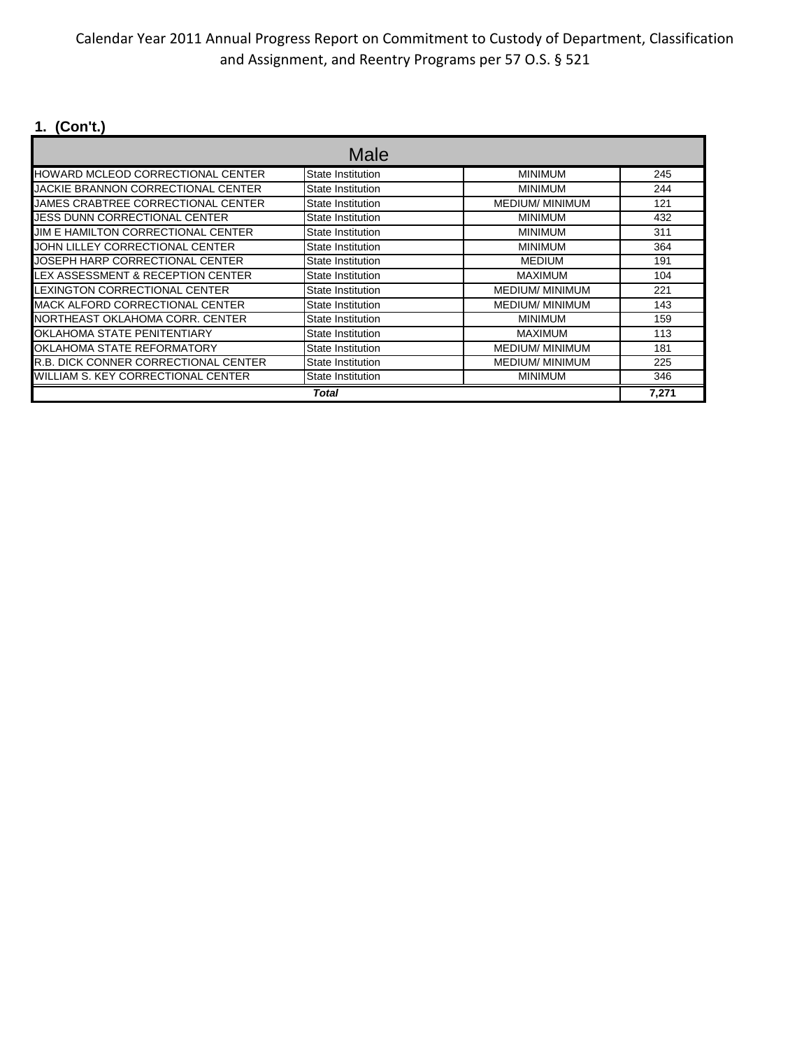## Calendar Year 2011 Annual Progress Report on Commitment to Custody of Department, Classification and Assignment, and Reentry Programs per 57 O.S. § 521

# **1. (Con't.)**

|                                       | Male                     |                        |       |
|---------------------------------------|--------------------------|------------------------|-------|
| HOWARD MCLEOD CORRECTIONAL CENTER     | State Institution        | <b>MINIMUM</b>         | 245   |
| JACKIE BRANNON CORRECTIONAL CENTER    | State Institution        | <b>MINIMUM</b>         | 244   |
| JAMES CRABTREE CORRECTIONAL CENTER    | State Institution        | <b>MEDIUM/ MINIMUM</b> | 121   |
| JESS DUNN CORRECTIONAL CENTER         | State Institution        | <b>MINIMUM</b>         | 432   |
| JIM E HAMILTON CORRECTIONAL CENTER    | <b>State Institution</b> | <b>MINIMUM</b>         | 311   |
| JOHN LILLEY CORRECTIONAL CENTER       | <b>State Institution</b> | <b>MINIMUM</b>         | 364   |
| JOSEPH HARP CORRECTIONAL CENTER       | State Institution        | <b>MEDIUM</b>          | 191   |
| LEX ASSESSMENT & RECEPTION CENTER     | State Institution        | <b>MAXIMUM</b>         | 104   |
| LEXINGTON CORRECTIONAL CENTER         | State Institution        | <b>MEDIUM/ MINIMUM</b> | 221   |
| MACK ALFORD CORRECTIONAL CENTER       | State Institution        | <b>MEDIUM/ MINIMUM</b> | 143   |
| NORTHEAST OKLAHOMA CORR. CENTER       | State Institution        | <b>MINIMUM</b>         | 159   |
| OKLAHOMA STATE PENITENTIARY           | State Institution        | <b>MAXIMUM</b>         | 113   |
| OKLAHOMA STATE REFORMATORY            | State Institution        | <b>MEDIUM/ MINIMUM</b> | 181   |
| IR.B. DICK CONNER CORRECTIONAL CENTER | State Institution        | <b>MEDIUM/ MINIMUM</b> | 225   |
| WILLIAM S. KEY CORRECTIONAL CENTER    | State Institution        | <b>MINIMUM</b>         | 346   |
|                                       | Total                    |                        | 7,271 |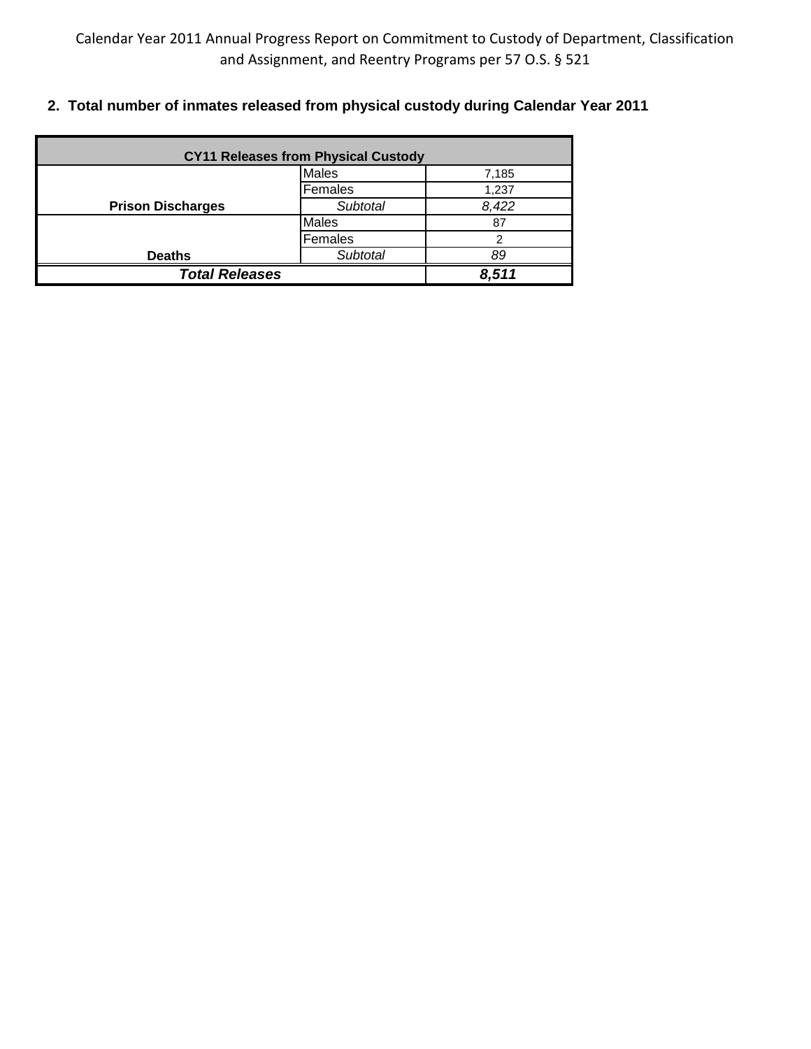**2. Total number of inmates released from physical custody during Calendar Year 2011**

| <b>CY11 Releases from Physical Custody</b> |              |       |  |  |
|--------------------------------------------|--------------|-------|--|--|
|                                            | <b>Males</b> | 7,185 |  |  |
|                                            | Females      | 1,237 |  |  |
| <b>Prison Discharges</b>                   | Subtotal     | 8,422 |  |  |
|                                            | <b>Males</b> | 87    |  |  |
| Females                                    |              |       |  |  |
| <b>Deaths</b>                              | Subtotal     | 89    |  |  |
| <b>Total Releases</b>                      |              | 8,511 |  |  |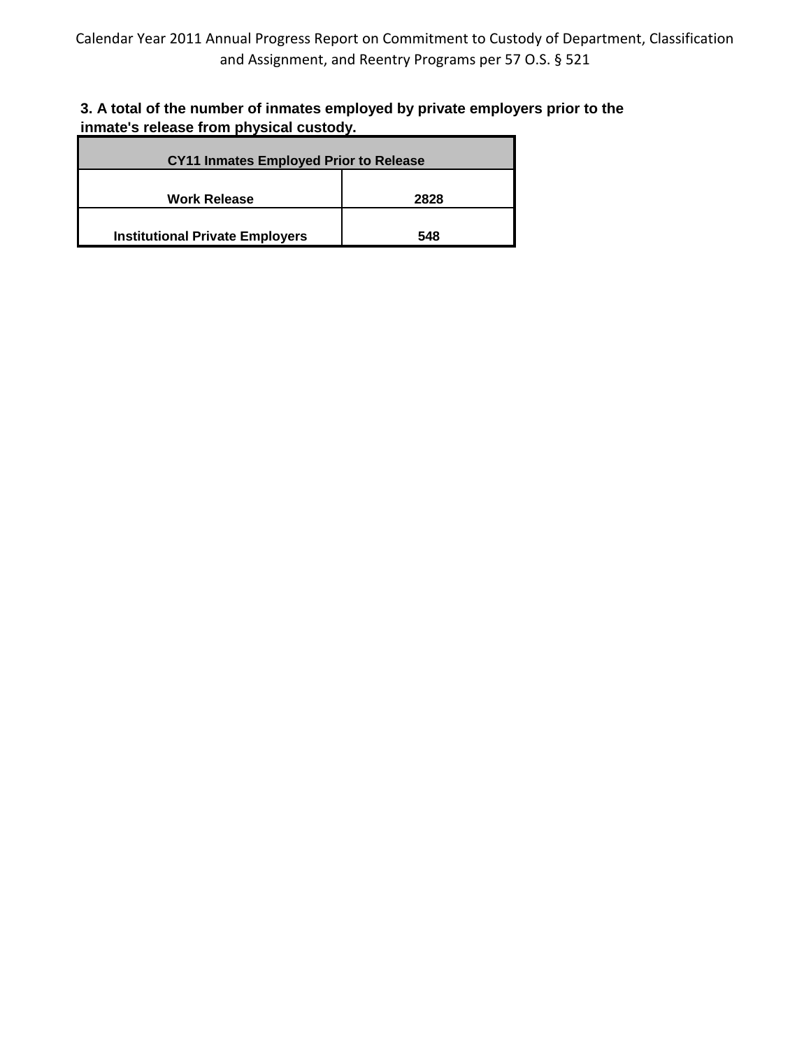## **3. A total of the number of inmates employed by private employers prior to the inmate's release from physical custody.**

| <b>CY11 Inmates Employed Prior to Release</b> |     |  |
|-----------------------------------------------|-----|--|
| <b>Work Release</b><br>2828                   |     |  |
| <b>Institutional Private Employers</b>        | 548 |  |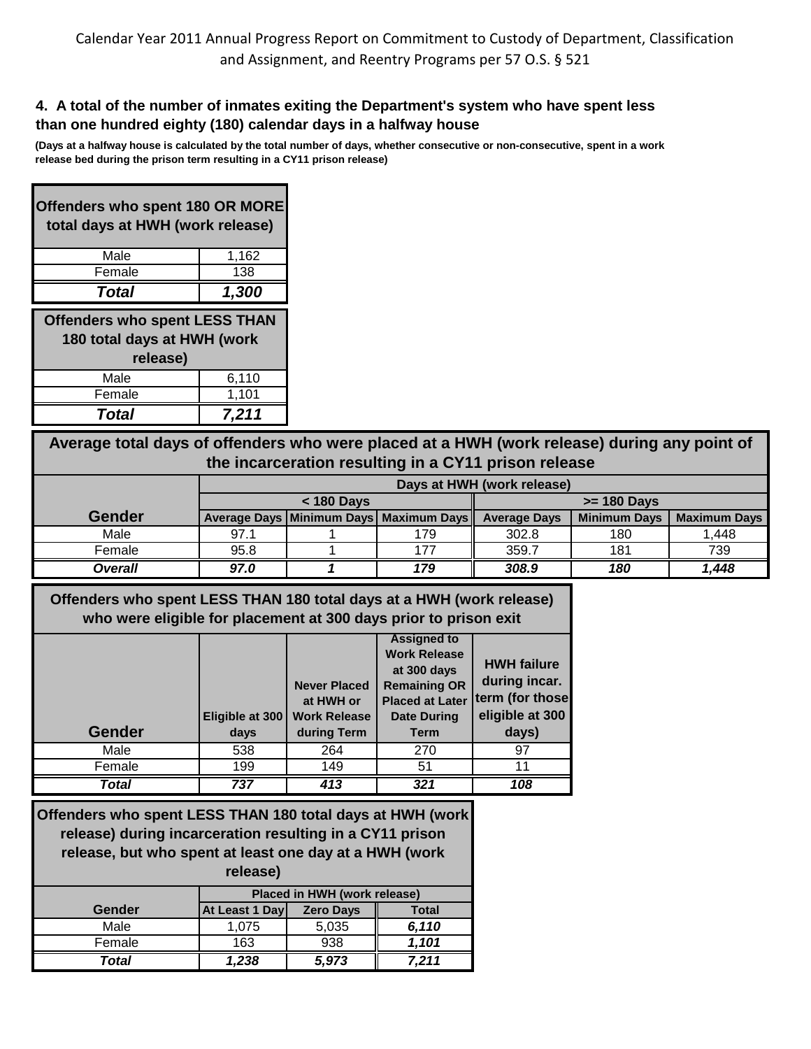#### **4. A total of the number of inmates exiting the Department's system who have spent less than one hundred eighty (180) calendar days in a halfway house**

**(Days at a halfway house is calculated by the total number of days, whether consecutive or non-consecutive, spent in a work release bed during the prison term resulting in a CY11 prison release)** 

| <b>Offenders who spent 180 OR MORE</b><br>total days at HWH (work release)      |       |  |  |  |
|---------------------------------------------------------------------------------|-------|--|--|--|
| Male                                                                            | 1,162 |  |  |  |
| Female                                                                          | 138   |  |  |  |
| 1,300<br><b>Total</b>                                                           |       |  |  |  |
| <b>Offenders who spent LESS THAN</b><br>180 total days at HWH (work<br>rologeol |       |  |  |  |

| release) |       |  |  |  |
|----------|-------|--|--|--|
| Male     | 6.110 |  |  |  |
| Female   | 1.101 |  |  |  |
| Total    | 7.211 |  |  |  |

**Average total days of offenders who were placed at a HWH (work release) during any point of the incarceration resulting in a CY11 prison release**

|               | Days at HWH (work release) |  |                                            |                                                                   |               |       |
|---------------|----------------------------|--|--------------------------------------------|-------------------------------------------------------------------|---------------|-------|
|               | $<$ 180 Days               |  |                                            |                                                                   | $>= 180$ Days |       |
| <b>Gender</b> |                            |  | Average Days   Minimum Days   Maximum Days | <b>Minimum Days</b><br><b>Maximum Days</b><br><b>Average Days</b> |               |       |
| Male          | 97.1                       |  | 179                                        | 302.8                                                             | 180           | 1.448 |
| Female        | 95.8                       |  | 177                                        | 359.7                                                             | 181           | 739   |
| Overall       | 97.0                       |  | 179                                        | 308.9                                                             | 180           | 1,448 |

**Offenders who spent LESS THAN 180 total days at a HWH (work release) who were eligible for placement at 300 days prior to prison exit**

| <b>Gender</b> | Eligible at 300<br>days | <b>Never Placed</b><br>at HWH or<br><b>Work Release</b><br>during Term | <b>Assigned to</b><br><b>Work Release</b><br>at 300 days<br><b>Remaining OR</b><br><b>Placed at Later</b><br><b>Date During</b><br><b>Term</b> | <b>HWH failure</b><br>during incar.<br>term (for those<br>eligible at 300<br>days) |
|---------------|-------------------------|------------------------------------------------------------------------|------------------------------------------------------------------------------------------------------------------------------------------------|------------------------------------------------------------------------------------|
| Male          | 538                     | 264                                                                    | 270                                                                                                                                            | 97                                                                                 |
| Female        | 199                     | 149                                                                    | 51                                                                                                                                             | 11                                                                                 |
| Total         | 737                     | 413                                                                    | 321                                                                                                                                            | 108                                                                                |

**Offenders who spent LESS THAN 180 total days at HWH (work release) during incarceration resulting in a CY11 prison release, but who spent at least one day at a HWH (work release)**

|        | Placed in HWH (work release) |                  |              |  |
|--------|------------------------------|------------------|--------------|--|
| Gender | At Least 1 Day               | <b>Zero Days</b> | <b>Total</b> |  |
| Male   | 1.075                        | 5,035            | 6.110        |  |
| Female | 163                          | 938              | 1.101        |  |
| Total  | 1,238                        | 5,973            | 7,211        |  |